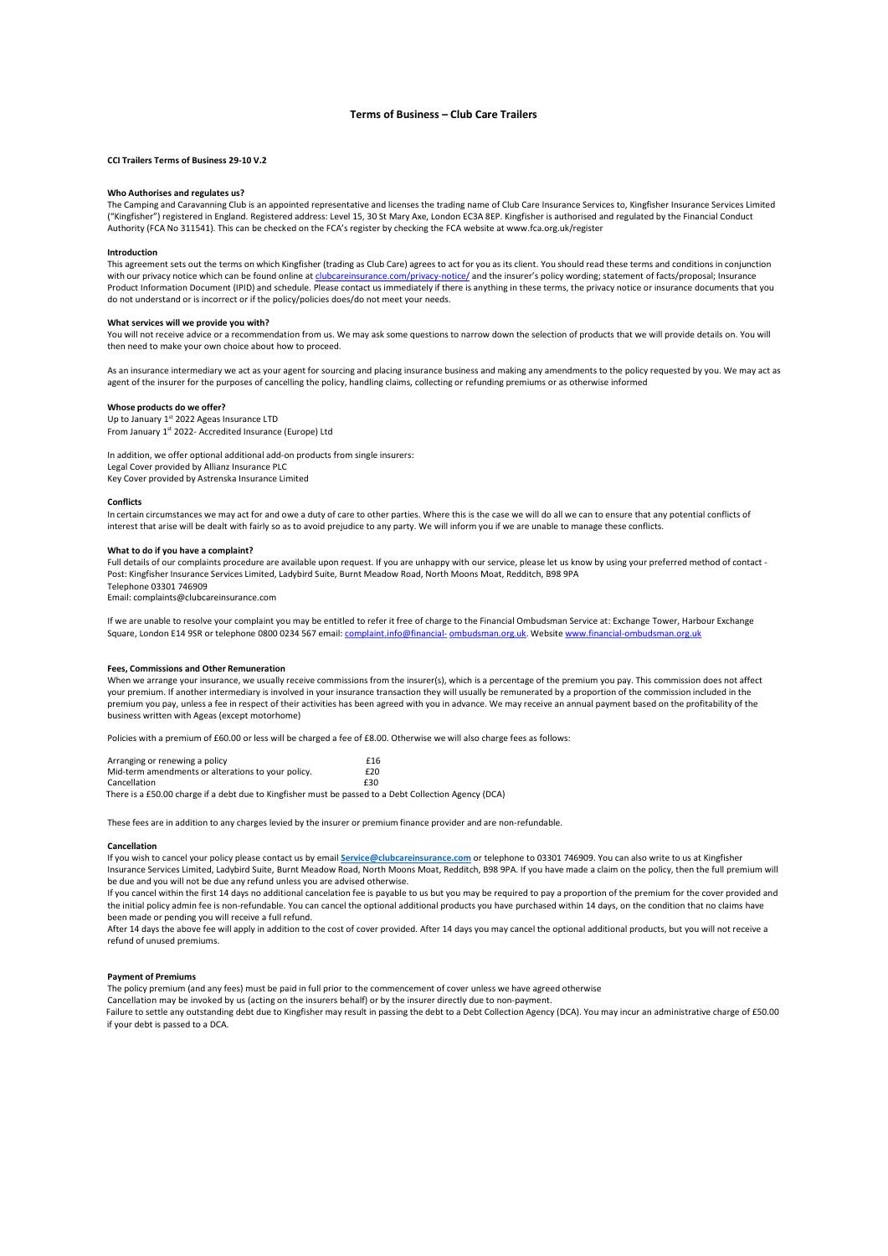# Terms of Business – Club Care Trailers

## CCI Trailers Terms of Business 29-10 V.2

# Who Authorises and regulates us?

The Camping and Caravanning Club is an appointed representative and licenses the trading name of Club Care Insurance Services to, Kingfisher Insurance Services Limited ("Kingfisher") registered in England. Registered address: Level 15, 30 St Mary Axe, London EC3A 8EP. Kingfisher is authorised and regulated by the Financial Conduct Authority (FCA No 311541). This can be checked on the FCA's register by checking the FCA website at www.fca.org.uk/register

## Introduction

This agreement sets out the terms on which Kingfisher (trading as Club Care) agrees to act for you as its client. You should read these terms and conditions in conjunction<br>with our privacy notice which can be found online .com/privacy-notice/ and the insurer's policy wording; statement of facts/proposal; Insurance Product Information Document (IPID) and schedule. Please contact us immediately if there is anything in these terms, the privacy notice or insurance documents that you do not understand or is incorrect or if the policy/policies does/do not meet your needs.

## What services will we provide you with?

You will not receive advice or a recommendation from us. We may ask some questions to narrow down the selection of products that we will provide details on. You will then need to make your own choice about how to proceed.

As an insurance intermediary we act as your agent for sourcing and placing insurance business and making any amendments to the policy requested by you. We may act as agent of the insurer for the purposes of cancelling the policy, handling claims, collecting or refunding premiums or as otherwise informed

#### Whose products do we offer?

Up to January 1<sup>st</sup> 2022 Ageas Insurance LTD From January 1st 2022- Accredited Insurance (Europe) Ltd

In addition, we offer optional additional add-on products from single insurers: Legal Cover provided by Allianz Insurance PLC Key Cover provided by Astrenska Insurance Limited

# **Conflicts**

In certain circumstances we may act for and owe a duty of care to other parties. Where this is the case we will do all we can to ensure that any potential conflicts of interest that arise will be dealt with fairly so as to avoid prejudice to any party. We will inform you if we are unable to manage these conflicts.

#### What to do if you have a complaint?

Full details of our complaints procedure are available upon request. If you are unhappy with our service, please let us know by using your preferred method of contact - Post: Kingfisher Insurance Services Limited, Ladybird Suite, Burnt Meadow Road, North Moons Moat, Redditch, B98 9PA Telephone 03301 746909

Email: complaints@clubcareinsurance.com

If we are unable to resolve your complaint you may be entitled to refer it free of charge to the Financial Ombudsman Service at: Exchange Tower, Harbour Exchange Square, London E14 9SR or telephone 0800 0234 567 email: complaint.info@financial- ombudsman.org.uk. Website www.financial-ombudsman.org.uk

## Fees, Commissions and Other Remuneration

When we arrange your insurance, we usually receive commissions from the insurer(s), which is a percentage of the premium you pay. This commission does not affect your premium. If another intermediary is involved in your insurance transaction they will usually be remunerated by a proportion of the commission included in the premium you pay, unless a fee in respect of their activities has been agreed with you in advance. We may receive an annual payment based on the profitability of the business written with Ageas (except motorhome)

Policies with a premium of £60.00 or less will be charged a fee of £8.00. Otherwise we will also charge fees as follows:

| Arranging or renewing a policy                                                                        | £16 |
|-------------------------------------------------------------------------------------------------------|-----|
| Mid-term amendments or alterations to your policy.                                                    | £20 |
| Cancellation                                                                                          | £30 |
| There is a £50.00 charge if a debt due to Kingfisher must be passed to a Debt Collection Agency (DCA) |     |

These fees are in addition to any charges levied by the insurer or premium finance provider and are non-refundable.

# Cancellation

If you wish to cancel your policy please contact us by email Service@clubcareinsurance.com or telephone to 03301 746909. You can also write to us at Kingfisher Insurance Services Limited, Ladybird Suite, Burnt Meadow Road, North Moons Moat, Redditch, B98 9PA. If you have made a claim on the policy, then the full premium will be due and you will not be due any refund unless you are advised otherwise.

If you cancel within the first 14 days no additional cancelation fee is payable to us but you may be required to pay a proportion of the premium for the cover provided and the initial policy admin fee is non-refundable. You can cancel the optional additional products you have purchased within 14 days, on the condition that no claims have been made or pending you will receive a full refund.

After 14 days the above fee will apply in addition to the cost of cover provided. After 14 days you may cancel the optional additional products, but you will not receive a refund of unused premiums.

# Payment of Premiums

The policy premium (and any fees) must be paid in full prior to the commencement of cover unless we have agreed otherwise

Cancellation may be invoked by us (acting on the insurers behalf) or by the insurer directly due to non-payment.

Failure to settle any outstanding debt due to Kingfisher may result in passing the debt to a Debt Collection Agency (DCA). You may incur an administrative charge of £50.00 if your debt is passed to a DCA.